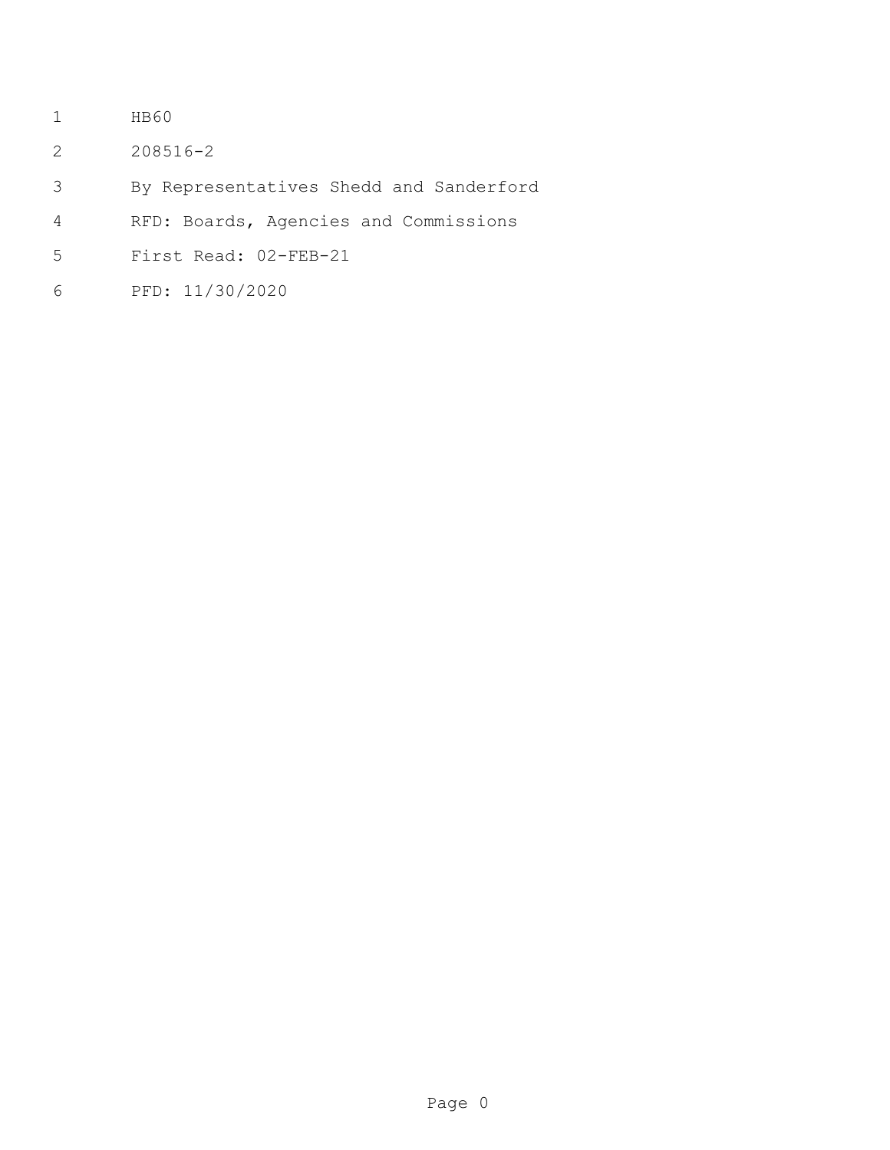- HB60
- 208516-2
- By Representatives Shedd and Sanderford
- RFD: Boards, Agencies and Commissions
- First Read: 02-FEB-21
- PFD: 11/30/2020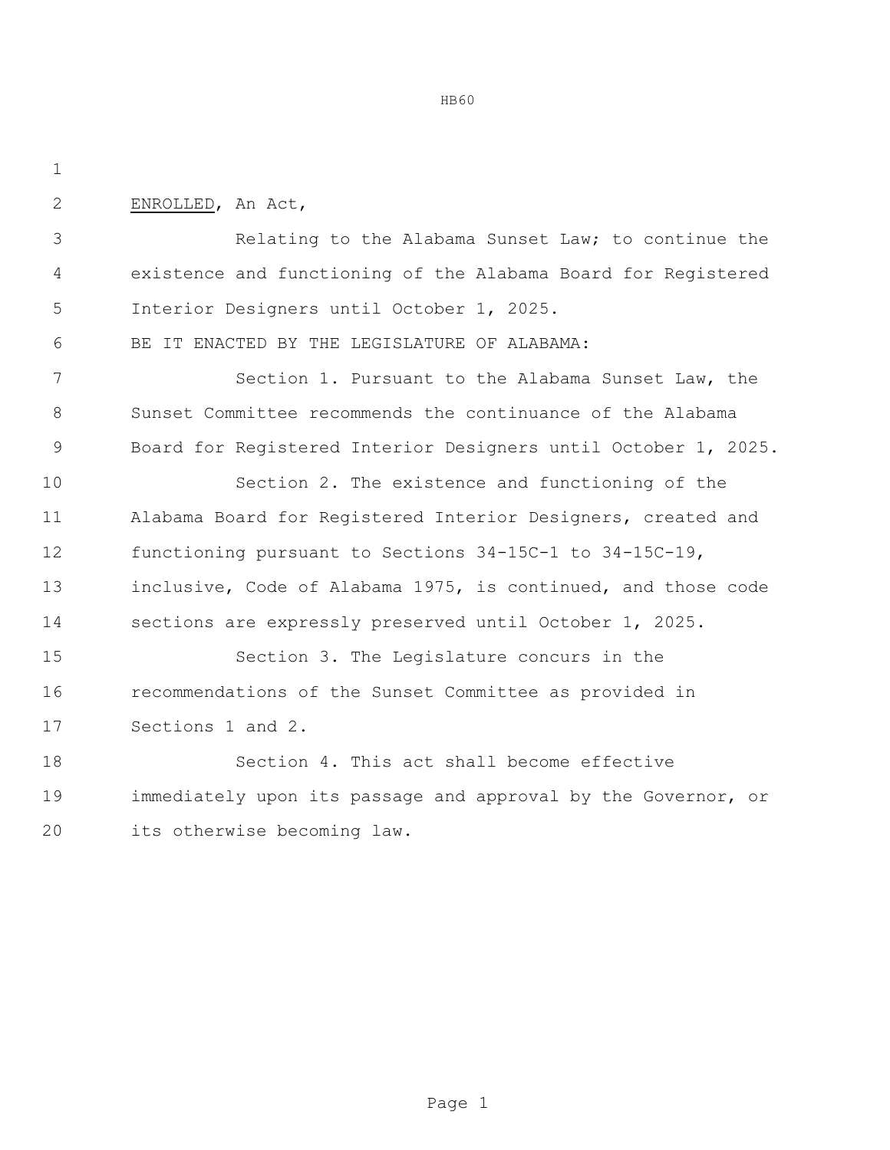ENROLLED, An Act,

 Relating to the Alabama Sunset Law; to continue the existence and functioning of the Alabama Board for Registered Interior Designers until October 1, 2025.

BE IT ENACTED BY THE LEGISLATURE OF ALABAMA:

 Section 1. Pursuant to the Alabama Sunset Law, the Sunset Committee recommends the continuance of the Alabama Board for Registered Interior Designers until October 1, 2025.

 Section 2. The existence and functioning of the Alabama Board for Registered Interior Designers, created and functioning pursuant to Sections 34-15C-1 to 34-15C-19, inclusive, Code of Alabama 1975, is continued, and those code sections are expressly preserved until October 1, 2025.

 Section 3. The Legislature concurs in the recommendations of the Sunset Committee as provided in Sections 1 and 2.

 Section 4. This act shall become effective immediately upon its passage and approval by the Governor, or its otherwise becoming law.

HB60